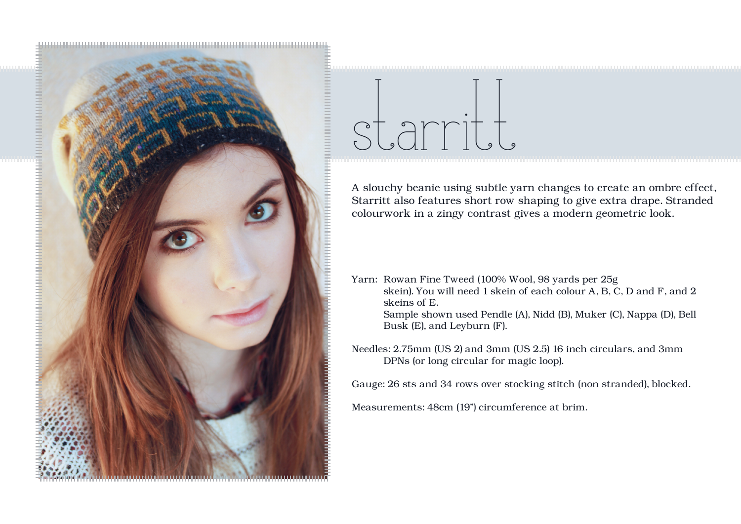

## starritt

A slouchy beanie using subtle yarn changes to create an ombre effect, Starritt also features short row shaping to give extra drape. Stranded colourwork in a zingy contrast gives a modern geometric look.

Yarn: Rowan Fine Tweed (100% Wool, 98 yards per 25g skein). You will need 1 skein of each colour A, B, C, D and F, and 2 skeins of E. Sample shown used Pendle (A), Nidd (B), Muker (C), Nappa (D), Bell Busk (E), and Leyburn (F).

Needles: 2.75mm (US 2) and 3mm (US 2.5) 16 inch circulars, and 3mm DPNs (or long circular for magic loop).

Gauge: 26 sts and 34 rows over stocking stitch (non stranded), blocked.

Measurements: 48cm (19") circumference at brim.